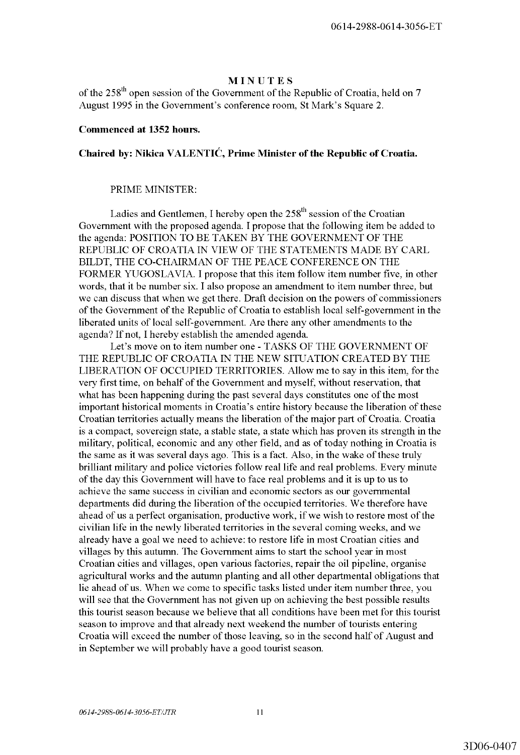# MINUTES

of the 258<sup>th</sup> open session of the Government of the Republic of Croatia, held on 7 August 1995 in the Government's conference room, St Mark's Square 2.

### Commenced at 1352 hours.

# Chaired by: Nikica VALENTIĆ, Prime Minister of the Republic of Croatia.

#### PRIME MINISTER:

Ladies and Gentlemen, I hereby open the  $258<sup>th</sup>$  session of the Croatian Government with the proposed agenda. I propose that the following item be added to the agenda: POSITION TO BE TAKEN BY THE GOVERNMENT OF THE REPUBLIC OF CROATIA IN VIEW OF THE STATEMENTS MADE BY CARL BILDT, THE CO-CHAIRMAN OF THE PEACE CONFERENCE ON THE FORMER YUGOSLAVIA. I propose that this item follow item number five, in other words, that it be number six. I also propose an amendment to item number three, but we can discuss that when we get there. Draft decision on the powers of commissioners of the Government of the Republic of Croatia to establish local self-government in the liberated units of local self-government. Are there any other amendments to the agenda? If not, I hereby establish the amended agenda.

Let's move on to item number one - TASKS OF THE GOVERNMENT OF THE REPUBLIC OF CROATIA IN THE NEW SITUATION CREATED BY THE LIBERATION OF OCCUPIED TERRITORIES. Allow me to say in this item, for the very first time, on behalf of the Government and myself, without reservation, that what has been happening during the past several days constitutes one of the most important historical moments in Croatia's entire history because the liberation of these Croatian territories actually means the liberation of the major part of Croatia. Croatia is a compact, sovereign state, a stable state, a state which has proven its strength in the military, political, economic and any other field, and as of today nothing in Croatia is the same as it was several days ago. This is a fact. Also, in the wake of these truly brilliant military and police victories follow real life and real problems. Every minute of the day this Government will have to face real problems and it is up to us to achieve the same success in civilian and economic sectors as our governmental departments did during the liberation of the occupied territories. We therefore have ahead of us a perfect organisation, productive work, if we wish to restore most of the civilian life in the newly liberated territories in the several coming weeks, and we already have a goal we need to achieve: to restore life in most Croatian cities and villages by this autumn. The Government aims to start the school year in most Croatian cities and villages, open various factories, repair the oil pipeline, organise agricultural works and the autumn planting and all other departmental obligations that lie ahead of us. When we come to specific tasks listed under item number three, you will see that the Government has not given up on achieving the best possible results this tourist season because we believe that all conditions have been met for this tourist season to improve and that already next weekend the number of tourists entering Croatia will exceed the number of those leaving, so in the second half of August and in September we will probably have a good tourist season.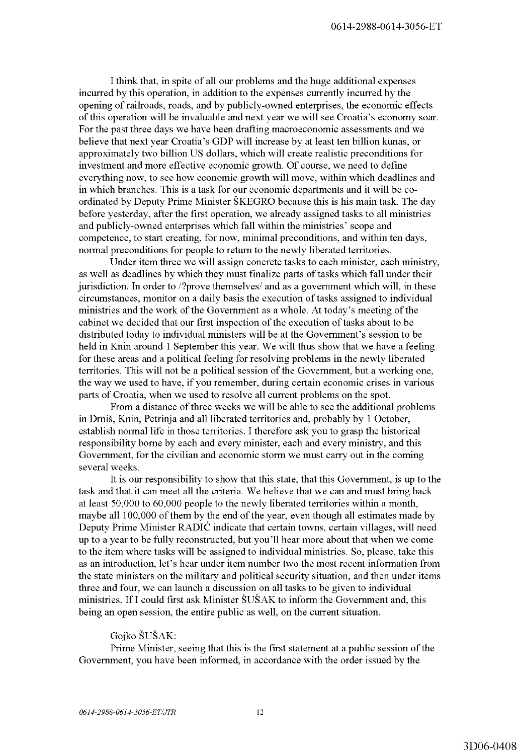I think that, in spite of all our problems and the huge additional expenses incurred by this operation, in addition to the expenses currently incurred by the opening of railroads, roads, and by publicly-owned enterprises, the economic effects of this operation will be invaluable and next year we will see Croatia's economy soar. For the past three days we have been drafting macroeconomic assessments and we believe that next year Croatia's GDP will increase by at least ten billion kunas, or approximately two billion US dollars, which will create realistic preconditions for investment and more effective economic growth. Of course, we need to define everything now, to see how economic growth will move, within which deadlines and in which branches. This is a task for our economic departments and it will be coordinated by Deputy Prime Minister SKEGRO because this is his main task. The day before yesterday, after the first operation, we already assigned tasks to all ministries and publicly-owned enterprises which fall within the ministries' scope and competence, to start creating, for now, minimal preconditions, and within ten days, normal preconditions for people to return to the newly liberated territories.

Under item three we will assign concrete tasks to each minister, each ministry, as well as deadlines by which they must finalize parts of tasks which fall under their jurisdiction. In order to /?prove themselves/ and as a government which will, in these circumstances, monitor on a daily basis the execution of tasks assigned to individual ministries and the work of the Government as a whole. At today's meeting of the cabinet we decided that our first inspection of the execution of tasks about to be distributed today to individual ministers will be at the Government's session to be held in Knin around 1 September this year. We will thus show that we have a feeling for these areas and a political feeling for resolving problems in the newly liberated territories. This will not be a political session of the Government, but a working one, the way we used to have, if you remember, during certain economic crises in various parts of Croatia, when we used to resolve all current problems on the spot.

From a distance of three weeks we will be able to see the additional problems in Drnis, Knin, Petrinja and all liberated territories and, probably by 1 October, establish normal life in those territories. I therefore ask you to grasp the historical responsibility borne by each and every minister, each and every ministry, and this Government, for the civilian and economic storm we must carry out in the coming several weeks.

It is our responsibility to show that this state, that this Government, is up to the task and that it can meet all the criteria. We believe that we can and must bring back at least 50,000 to 60,000 people to the newly liberated territories within a month, maybe all 100,000 of them by the end of the year, even though all estimates made by Deputy Prime Minister RADIC indicate that certain towns, certain villages, will need up to a year to be fully reconstructed, but you'll hear more about that when we come to the item where tasks will be assigned to individual ministries. So, please, take this as an introduction, let's hear under item number two the most recent information from the state ministers on the military and political security situation, and then under items three and four, we can launch a discussion on all tasks to be given to individual ministries. If I could first ask Minister ŠUŠAK to inform the Government and, this being an open session, the entire public as well, on the current situation.

## Gojko SUSAK:

Prime Minister, seeing that this is the first statement at a public session of the Government, you have been informed, in accordance with the order issued by the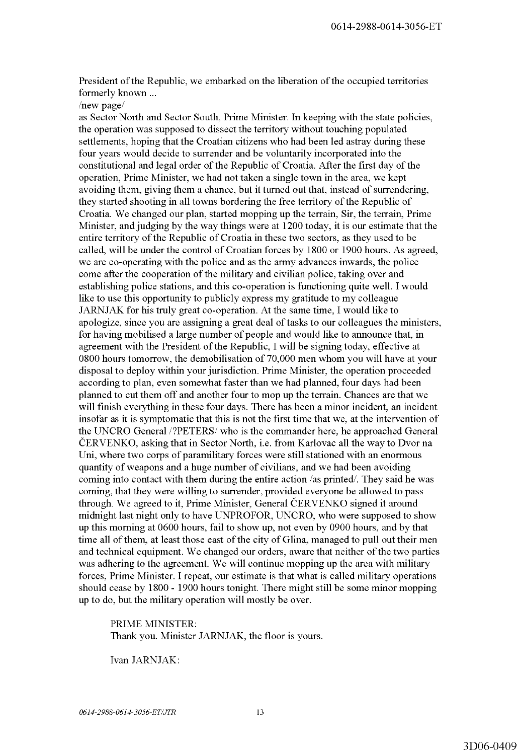President of the Republic, we embarked on the liberation of the occupied territories formerly known ...

/new page/

as Sector North and Sector South, Prime Minister. In keeping with the state policies, the operation was supposed to dissect the territory without touching populated settlements, hoping that the Croatian citizens who had been led astray during these four years would decide to surrender and be voluntarily incorporated into the constitutional and legal order of the Republic of Croatia. After the first day of the operation, Prime Minister, we had not taken a single town in the area, we kept avoiding them, giving them a chance, but it turned out that, instead of surrendering, they started shooting in all towns bordering the free territory of the Republic of Croatia. We changed our plan, started mopping up the terrain, Sir, the terrain, Prime Minister, and judging by the way things were at 1200 today, it is our estimate that the entire territory of the Republic of Croatia in these two sectors, as they used to be called, will be under the control of Croatian forces by 1800 or 1900 hours. As agreed, we are co-operating with the police and as the army advances inwards, the police come after the cooperation of the military and civilian police, taking over and establishing police stations, and this co-operation is functioning quite well. I would like to use this opportunity to publicly express my gratitude to my colleague JARNJAK for his truly great co-operation. At the same time, I would like to apologize, since you are assigning a great deal of tasks to our colleagues the ministers, for having mobilised a large number of people and would like to announce that, in agreement with the President of the Republic, I will be signing today, effective at 0800 hours tomorrow, the demobilisation of 70,000 men whom you will have at your disposal to deploy within your jurisdiction. Prime Minister, the operation proceeded according to plan, even somewhat faster than we had planned, four days had been planned to cut them off and another four to mop up the terrain. Chances are that we will finish everything in these four days. There has been a minor incident, an incident insofar as it is symptomatic that this is not the first time that we, at the intervention of the UNCRO General /?PETERS/ who is the commander here, he approached General CERVENKO, asking that in Sector North, i.e. from Karlovac all the way to Dvor na Uni, where two corps of paramilitary forces were still stationed with an enormous quantity of weapons and a huge number of civilians, and we had been avoiding coming into contact with them during the entire action /as printed/. They said he was coming, that they were willing to surrender, provided everyone be allowed to pass through. We agreed to it, Prime Minister, General ČERVENKO signed it around midnight last night only to have UNPROFOR, UNCRO, who were supposed to show up this morning at 0600 hours, fail to show up, not even by 0900 hours, and by that time all of them, at least those east of the city of Glina, managed to pull out their men and technical equipment. We changed our orders, aware that neither of the two parties was adhering to the agreement. We will continue mopping up the area with military forces, Prime Minister. I repeat, our estimate is that what is called military operations should cease by 1800 - 1900 hours tonight. There might still be some minor mopping up to do, but the military operation will mostly be over.

PRIME MINISTER: Thank you. Minister JARNJAK, the floor is yours.

Ivan JARNJAK: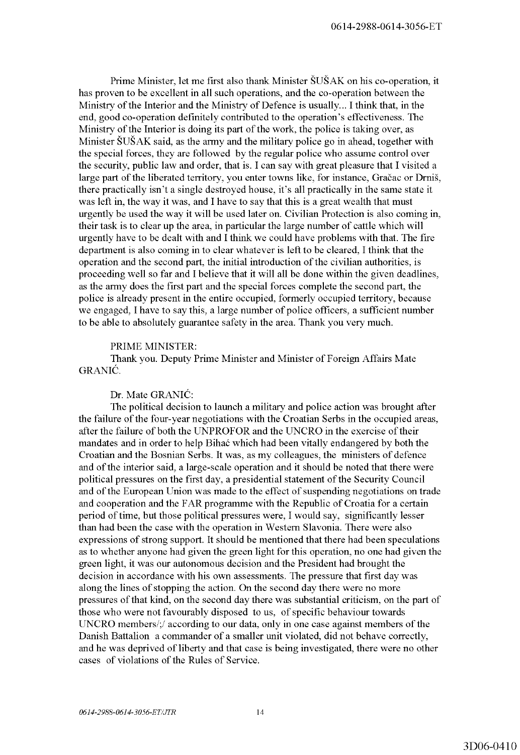Prime Minister, let me first also thank Minister SUSAK on his co-operation, it has proven to be excellent in all such operations, and the co-operation between the Ministry of the Interior and the Ministry of Defence is usually ... I think that, in the end, good co-operation definitely contributed to the operation's effectiveness. The Ministry of the Interior is doing its part of the work, the police is taking over, as Minister  $\text{S} \cup \text{S} \cup \text{S} \cup \text{S}$  as the army and the military police go in ahead, together with the special forces, they are followed by the regular police who assume control over the security, public law and order, that is. I can say with great pleasure that I visited a large part of the liberated territory, you enter towns like, for instance, Gračac or Drniš, there practically isn't a single destroyed house, it's all practically in the same state it was left in, the way it was, and I have to say that this is a great wealth that must urgently be used the way it will be used later on. Civilian Protection is also coming in, their task is to clear up the area, in particular the large number of cattle which will urgently have to be dealt with and I think we could have problems with that. The fire department is also coming in to clear whatever is left to be cleared, I think that the operation and the second part, the initial introduction of the civilian authorities, is proceeding well so far and I believe that it will all be done within the given deadlines, as the army does the first part and the special forces complete the second part, the police is already present in the entire occupied, formerly occupied territory, because we engaged, I have to say this, a large number of police officers, a sufficient number to be able to absolutely guarantee safety in the area. Thank you very much.

# PRIME MINISTER:

Thank you. Deputy Prime Minister and Minister of Foreign Affairs Mate GRANIC.

# Dr. Mate GRANIC:

The political decision to launch a military and police action was brought after the failure of the four-year negotiations with the Croatian Serbs in the occupied areas, after the failure of both the UNPROFOR and the UNCRO in the exercise of their mandates and in order to help Bihac which had been vitally endangered by both the Croatian and the Bosnian Serbs. It was, as my colleagues, the ministers of defence and of the interior said, a large-scale operation and it should be noted that there were political pressures on the first day, a presidential statement of the Security Council and of the European Union was made to the effect of suspending negotiations on trade and cooperation and the FAR programme with the Republic of Croatia for a certain period of time, but those political pressures were, I would say, significantly lesser than had been the case with the operation in Western Slavonia. There were also expressions of strong support. It should be mentioned that there had been speculations as to whether anyone had given the green light for this operation, no one had given the green light, it was our autonomous decision and the President had brought the decision in accordance with his own assessments. The pressure that first day was along the lines of stopping the action. On the second day there were no more pressures of that kind, on the second day there was substantial criticism, on the part of those who were not favourably disposed to us, of specific behaviour towards UNCRO members/;/ according to our data, only in one case against members of the Danish Battalion a commander of a smaller unit violated, did not behave correctly, and he was deprived of liberty and that case is being investigated, there were no other cases of violations of the Rules of Service.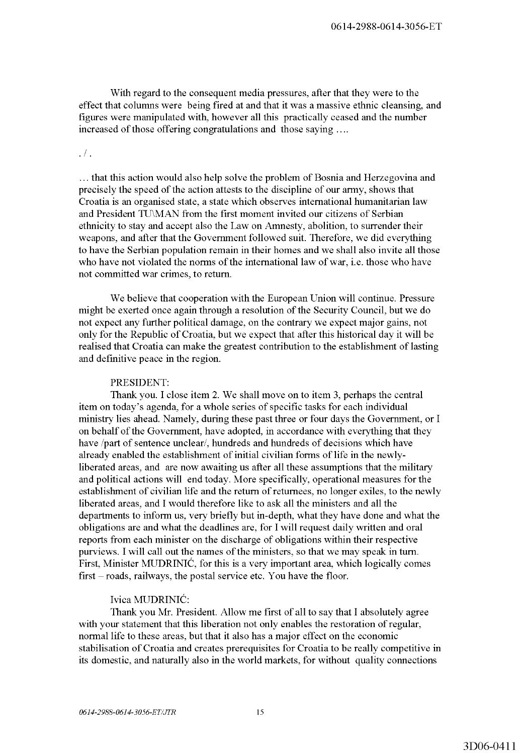With regard to the consequent media pressures, after that they were to the effect that columns were being fired at and that it was a massive ethnic cleansing, and figures were manipulated with, however all this practically ceased and the number increased of those offering congratulations and those saying ....

.  $/$  .

... that this action would also help solve the problem of Bosnia and Herzegovina and precisely the speed of the action attests to the discipline of our army, shows that Croatia is an organised state, a state which observes international humanitarian law and President TU\MAN from the first moment invited our citizens of Serbian ethnicity to stay and accept also the Law on Amnesty, abolition, to surrender their weapons, and after that the Government followed suit. Therefore, we did everything to have the Serbian population remain in their homes and we shall also invite all those who have not violated the norms of the international law of war, i.e. those who have not committed war crimes, to return.

We believe that cooperation with the European Union will continue. Pressure might be exerted once again through a resolution of the Security Council, but we do not expect any further political damage, on the contrary we expect major gains, not only for the Republic of Croatia, but we expect that after this historical day it will be realised that Croatia can make the greatest contribution to the establishment of lasting and definitive peace in the region.

## PRESIDENT:

Thank you. I close item 2. We shall move on to item 3, perhaps the central item on today's agenda, for a whole series of specific tasks for each individual ministry lies ahead. Namely, during these past three or four days the Government, or I on behalf of the Government, have adopted, in accordance with everything that they have /part of sentence unclear/, hundreds and hundreds of decisions which have already enabled the establishment of initial civilian forms of life in the newlyliberated areas, and are now awaiting us after all these assumptions that the military and political actions will end today. More specifically, operational measures for the establishment of civilian life and the return of returnees, no longer exiles, to the newly liberated areas, and I would therefore like to ask all the ministers and all the departments to inform us, very briefly but in-depth, what they have done and what the obligations are and what the deadlines are, for I will request daily written and oral reports from each minister on the discharge of obligations within their respective purviews. I will call out the names of the ministers, so that we may speak in tum. First, Minister MUDRINIC, for this is a very important area, which logically comes first - roads, railways, the postal service etc. You have the floor.

# lvica MUDRINIC:

Thank you Mr. President. Allow me first of all to say that I absolutely agree with your statement that this liberation not only enables the restoration of regular, normal life to these areas, but that it also has a major effect on the economic stabilisation of Croatia and creates prerequisites for Croatia to be really competitive in its domestic, and naturally also in the world markets, for without quality connections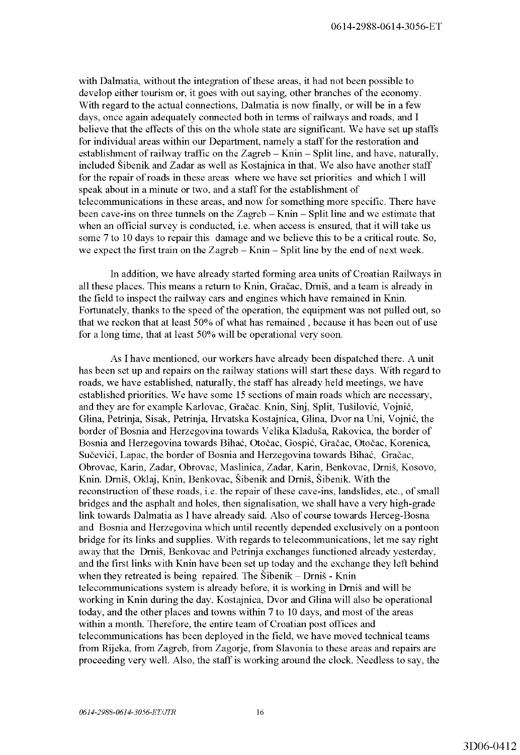with Dalmatia, without the integration of these areas, it had not been possible to develop either tourism or, it goes with out saying, other branches of the economy. With regard to the actual connections, Dalmatia is now finally, or will be in a few days, once again adequately connected both in terms of railways and roads, and I believe that the effects of this on the whole state are significant. We have set up staffs for individual areas within our Department, namely a staff for the restoration and establishment of railway traffic on the Zagreb  $-$  Knin  $-$  Split line, and have, naturally, included Sibenik and Zadar as well as Kostajnica in that. We also have another staff for the repair of roads in these areas where we have set priorities and which I will speak about in a minute or two, and a staff for the establishment of telecommunications in these areas, and now for something more specific. There have been cave-ins on three tunnels on the Zagreb - Knin - Split line and we estimate that when an official survey is conducted, i.e. when access is ensured, that it will take us some 7 to 10 days to repair this damage and we believe this to be a critical route. So, we expect the first train on the Zagreb  $-$  Knin  $-$  Split line by the end of next week.

In addition, we have already started forming area units of Croatian Railways in all these places. This means a return to Knin, Graeac, Dmis, and a team is already in the field to inspect the railway cars and engines which have remained in Knin. Fortunately, thanks to the speed of the operation, the equipment was not pulled out, so that we reckon that at least 50% of what has remained, because it has been out of use for a long time, that at least 50% will be operational very soon.

As I have mentioned, our workers have already been dispatched there. A unit has been set up and repairs on the railway stations will start these days. With regard to roads, we have established, naturally, the staff has already held meetings, we have established priorities. We have some 15 sections of main roads which are necessary, and they are for example Karlovac, Gračac. Knin, Sinj, Split, Tušilović, Vojnić, Glina, Petrinja, Sisak, Petrinja, Hrvatska Kostajnica, Glina, Dvor na Uni, Vojnić, the border of Bosnia and Herzegovina towards Velika Kladusa, Rakovica, the border of Bosnia and Herzegovina towards Bihać, Otočac, Gospić, Gračac, Otočac, Korenica, Sučevići, Lapac, the border of Bosnia and Herzegovina towards Bihać, Gračac, Obrovac, Karin, Zadar, Obrovac, Maslinica, Zadar, Karin, Benkovac, Drnis, Kosovo, Knin. Dmis, Oklaj, Knin, Benkovac, Sibenik and Dmis, Sibenik. With the reconstruction of these roads, i.e. the repair of these cave-ins, landslides, etc., of small bridges and the asphalt and holes, then signalisation, we shall have a very high-grade link towards Dalmatia as I have already said. Also of course towards Herceg-Bosna and Bosnia and Herzegovina which until recently depended exclusively on a pontoon bridge for its links and supplies. With regards to telecommunications, let me say right away that the Dmis, Benkovac and Petrinja exchanges functioned already yesterday, and the first links with Knin have been set up today and the exchange they left behind when they retreated is being repaired. The  $\ddot{\text{S}}$ ibenik - Drnis - Knin telecommunications system is already before, it is working in Dmis and will be working in Knin during the day. Kostajnica, Dvor and Glina will also be operational today, and the other places and towns within 7 to 10 days, and most of the areas within a month. Therefore, the entire team of Croatian post offices and telecommunications has been deployed in the field, we have moved technical teams from Rijeka, from Zagreb, from Zagorje, from Slavonia to these areas and repairs are proceeding very well. Also, the staff is working around the clock. Needless to say, the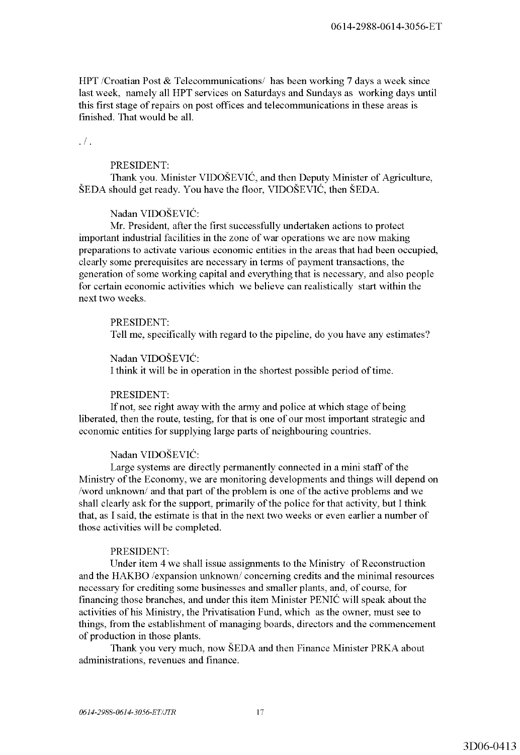HPT /Croatian Post & Telecommunications/ has been working 7 days a week since last week, namely all HPT services on Saturdays and Sundays as working days until this first stage of repairs on post offices and telecommunications in these areas is finished. That would be all.

 $\cdot$  / .

## PRESIDENT:

Thank you. Minister VIDOSEVIC, and then Deputy Minister of Agriculture, SEDA should get ready. You have the floor, VIDOSEVIC, then SEDA.

# Nadan VIDOSEVIC:

Mr. President, after the first successfully undertaken actions to protect important industrial facilities in the zone of war operations we are now making preparations to activate various economic entities in the areas that had been occupied, clearly some prerequisites are necessary in terms of payment transactions, the generation of some working capital and everything that is necessary, and also people for certain economic activities which we believe can realistically start within the next two weeks.

## PRESIDENT:

Tell me, specifically with regard to the pipeline, do you have any estimates?

# Nadan VIDOSEVIC:

I think it will be in operation in the shortest possible period of time.

## PRESIDENT:

If not, see right away with the army and police at which stage of being liberated, then the route, testing, for that is one of our most important strategic and economic entities for supplying large parts of neighbouring countries.

# Nadan VIDOSEVIC:

Large systems are directly permanently connected in a mini staff of the Ministry of the Economy, we are monitoring developments and things will depend on /word unknown/ and that part of the problem is one of the active problems and we shall clearly ask for the support, primarily of the police for that activity, but I think that, as I said, the estimate is that in the next two weeks or even earlier a number of those activities will be completed.

#### PRESIDENT:

Under item 4 we shall issue assignments to the Ministry of Reconstruction and the HAKBO /expansion unknown/ concerning credits and the minimal resources necessary for crediting some businesses and smaller plants, and, of course, for financing those branches, and under this item Minister PENIC will speak about the activities of his Ministry, the Privatisation Fund, which as the owner, must see to things, from the establishment of managing boards, directors and the commencement of production in those plants.

Thank you very much, now SEDA and then Finance Minister PRKA about administrations, revenues and finance.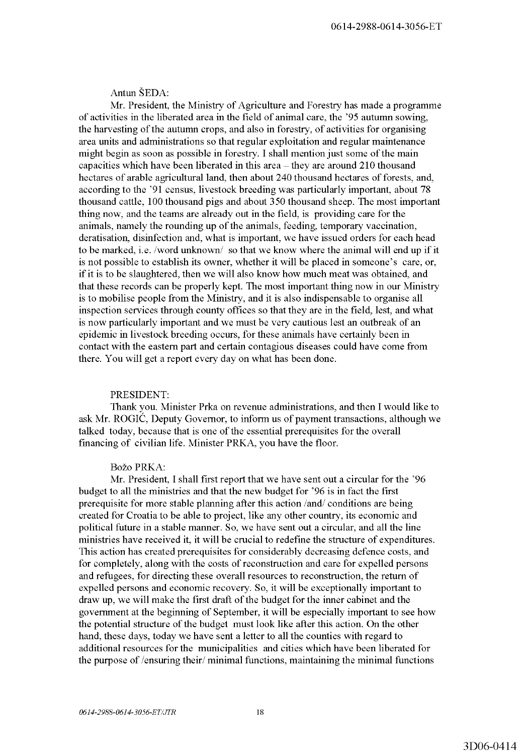Antun SEDA:

Mr. President, the Ministry of Agriculture and Forestry has made a programme of activities in the liberated area in the field of animal care, the '95 autumn sowing, the harvesting of the autumn crops, and also in forestry, of activities for organising area units and administrations so that regular exploitation and regular maintenance might begin as soon as possible in forestry. I shall mention just some of the main capacities which have been liberated in this area - they are around 210 thousand hectares of arable agricultural land, then about 240 thousand hectares of forests, and, according to the '91 census, livestock breeding was particularly important, about 78 thousand cattle, 100 thousand pigs and about 350 thousand sheep. The most important thing now, and the teams are already out in the field, is providing care for the animals, namely the rounding up of the animals, feeding, temporary vaccination, deratisation, disinfection and, what is important, we have issued orders for each head to be marked, i.e. /word unknown/ so that we know where the animal will end up if it is not possible to establish its owner, whether it will be placed in someone's care, or, if it is to be slaughtered, then we will also know how much meat was obtained, and that these records can be properly kept. The most important thing now in our Ministry is to mobilise people from the Ministry, and it is also indispensable to organise all inspection services through county offices so that they are in the field, lest, and what is now particularly important and we must be very cautious lest an outbreak of an epidemic in livestock breeding occurs, for these animals have certainly been in contact with the eastern part and certain contagious diseases could have come from there. You will get a report every day on what has been done.

## PRESIDENT:

Thank you. Minister Prka on revenue administrations, and then I would like to ask Mr. ROGIĆ, Deputy Governor, to inform us of payment transactions, although we talked today, because that is one of the essential prerequisites for the overall financing of civilian life. Minister PRKA, you have the floor.

# Božo PRKA:

Mr. President, I shall first report that we have sent out a circular for the '96 budget to all the ministries and that the new budget for '96 is in fact the first prerequisite for more stable planning after this action /and/ conditions are being created for Croatia to be able to project, like any other country, its economic and political future in a stable manner. So, we have sent out a circular, and all the line ministries have received it, it will be crucial to redefine the structure of expenditures. This action has created prerequisites for considerably decreasing defence costs, and for completely, along with the costs of reconstruction and care for expelled persons and refugees, for directing these overall resources to reconstruction, the return of expelled persons and economic recovery. So, it will be exceptionally important to draw up, we will make the first draft of the budget for the inner cabinet and the government at the beginning of September, it will be especially important to see how the potential structure of the budget must look like after this action. On the other hand, these days, today we have sent a letter to all the counties with regard to additional resources for the municipalities and cities which have been liberated for the purpose of /ensuring their/ minimal functions, maintaining the minimal functions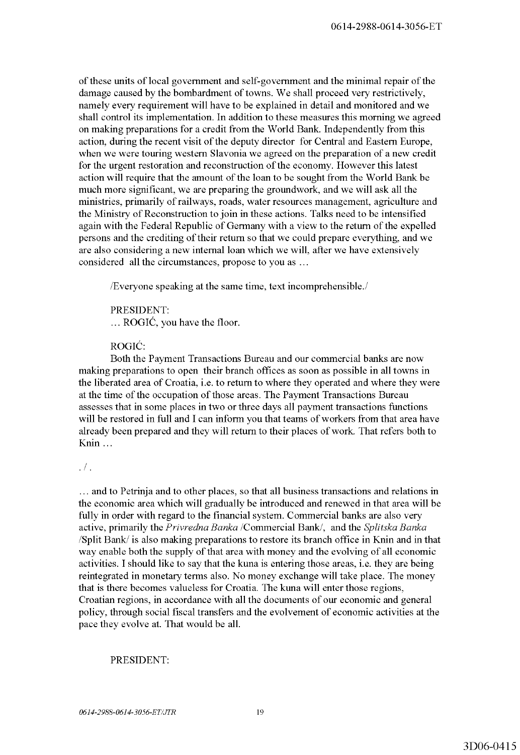of these units of local government and self-government and the minimal repair of the damage caused by the bombardment of towns. We shall proceed very restrictively, namely every requirement will have to be explained in detail and monitored and we shall control its implementation. In addition to these measures this morning we agreed on making preparations for a credit from the World Bank. Independently from this action, during the recent visit of the deputy director for Central and Eastern Europe, when we were touring western Slavonia we agreed on the preparation of a new credit for the urgent restoration and reconstruction of the economy. However this latest action will require that the amount of the loan to be sought from the World Bank be much more significant, we are preparing the groundwork, and we will ask all the ministries, primarily of railways, roads, water resources management, agriculture and the Ministry of Reconstruction to join in these actions. Talks need to be intensified again with the Federal Republic of Germany with a view to the return of the expelled persons and the crediting of their return so that we could prepare everything, and we are also considering a new internal loan which we will, after we have extensively considered all the circumstances, propose to you as ...

/Everyone speaking at the same time, text incomprehensible./

PRESIDENT:  $\ldots$  ROGIĆ, you have the floor.

ROGIĆ:

Both the Payment Transactions Bureau and our commercial banks are now making preparations to open their branch offices as soon as possible in all towns in the liberated area of Croatia, i.e. to return to where they operated and where they were at the time of the occupation of those areas. The Payment Transactions Bureau assesses that in some places in two or three days all payment transactions functions will be restored in full and I can inform you that teams of workers from that area have already been prepared and they will return to their places of work. That refers both to Knin ...

.  $/$  .

. . . and to Petrinja and to other places, so that all business transactions and relations in the economic area which will gradually be introduced and renewed in that area will be fully in order with regard to the financial system. Commercial banks are also very active, primarily the *Privredna Banka* /Commercial Bank/, and the *Splitska Banka*  /Split Bank/ is also making preparations to restore its branch office in Knin and in that way enable both the supply of that area with money and the evolving of all economic activities. I should like to say that the kuna is entering those areas, i.e. they are being reintegrated in monetary terms also. No money exchange will take place. The money that is there becomes valueless for Croatia. The kuna will enter those regions, Croatian regions, in accordance with all the documents of our economic and general policy, through social fiscal transfers and the evolvement of economic activities at the pace they evolve at. That would be all.

# PRESIDENT: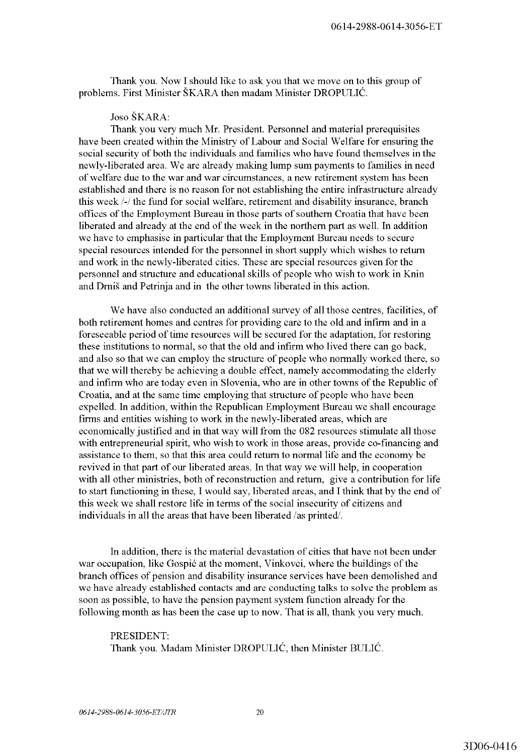Thank you. Now I should like to ask you that we move on to this group of problems. First Minister SKARA then madam Minister DROPULIC.

Joso SKARA:

Thank you very much Mr. President. Personnel and material prerequisites have been created within the Ministry of Labour and Social Welfare for ensuring the social security of both the individuals and families who have found themselves in the newly-liberated area. We are already making lump sum payments to families in need of welfare due to the war and war circumstances, a new retirement system has been established and there is no reason for not establishing the entire infrastructure already this week /-/ the fund for social welfare, retirement and disability insurance, branch offices of the Employment Bureau in those parts of southern Croatia that have been liberated and already at the end of the week in the northern part as well. In addition we have to emphasise in particular that the Employment Bureau needs to secure special resources intended for the personnel in short supply which wishes to return and work in the newly-liberated cities. These are special resources given for the personnel and structure and educational skills of people who wish to work in Knin and Drnis and Petrinja and in the other towns liberated in this action.

We have also conducted an additional survey of all those centres, facilities, of both retirement homes and centres for providing care to the old and infirm and in a foreseeable period of time resources will be secured for the adaptation, for restoring these institutions to normal, so that the old and infirm who lived there can go back, and also so that we can employ the structure of people who normally worked there, so that we will thereby be achieving a double effect, namely accommodating the elderly and infirm who are today even in Slovenia, who are in other towns of the Republic of Croatia, and at the same time employing that structure of people who have been expelled. In addition, within the Republican Employment Bureau we shall encourage firms and entities wishing to work in the newly-liberated areas, which are economically justified and in that way will from the 082 resources stimulate all those with entrepreneurial spirit, who wish to work in those areas, provide co-financing and assistance to them, so that this area could return to normal life and the economy be revived in that part of our liberated areas. In that way we will help, in cooperation with all other ministries, both of reconstruction and return, give a contribution for life to start functioning in these, I would say, liberated areas, and I think that by the end of this week we shall restore life in terms of the social insecurity of citizens and individuals in all the areas that have been liberated /as printed/.

In addition, there is the material devastation of cities that have not been under war occupation, like Gospic at the moment, Vinkovci, where the buildings of the branch offices of pension and disability insurance services have been demolished and we have already established contacts and are conducting talks to solve the problem as soon as possible, to have the pension payment system function already for the following month as has been the case up to now. That is all, thank you very much.

PRESIDENT: Thank you. Madam Minister DROPULIC, then Minister BULIC.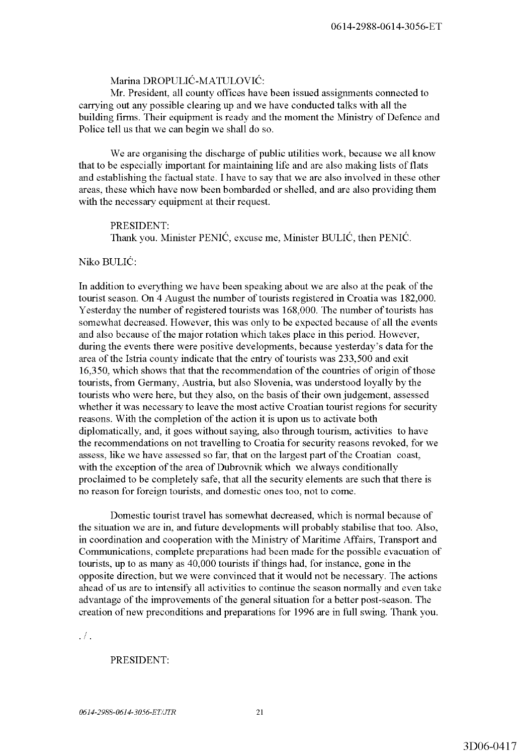# Marina DROPULIC-MATULOVIC:

Mr. President, all county offices have been issued assignments connected to carrying out any possible clearing up and we have conducted talks with all the building firms. Their equipment is ready and the moment the Ministry of Defence and Police tell us that we can begin we shall do so.

We are organising the discharge of public utilities work, because we all know that to be especially important for maintaining life and are also making lists of flats and establishing the factual state. I have to say that we are also involved in these other areas, these which have now been bombarded or shelled, and are also providing them with the necessary equipment at their request.

PRESIDENT: Thank you. Minister PENIC, excuse me, Minister BULIC, then PENIC.

#### Niko BULIC:

In addition to everything we have been speaking about we are also at the peak of the tourist season. On 4 August the number of tourists registered in Croatia was 182,000. Yesterday the number of registered tourists was 168,000. The number of tourists has somewhat decreased. However, this was only to be expected because of all the events and also because of the major rotation which takes place in this period. However, during the events there were positive developments, because yesterday's data for the area of the Istria county indicate that the entry of tourists was 233,500 and exit 16,350, which shows that that the recommendation of the countries of origin of those tourists, from Germany, Austria, but also Slovenia, was understood loyally by the tourists who were here, but they also, on the basis of their own judgement, assessed whether it was necessary to leave the most active Croatian tourist regions for security reasons. With the completion of the action it is upon us to activate both diplomatically, and, it goes without saying, also through tourism, activities to have the recommendations on not travelling to Croatia for security reasons revoked, for we assess, like we have assessed so far, that on the largest part of the Croatian coast, with the exception of the area of Dubrovnik which we always conditionally proclaimed to be completely safe, that all the security elements are such that there is no reason for foreign tourists, and domestic ones too, not to come.

Domestic tourist travel has somewhat decreased, which is normal because of the situation we are in, and future developments will probably stabilise that too. Also, in coordination and cooperation with the Ministry of Maritime Affairs, Transport and Communications, complete preparations had been made for the possible evacuation of tourists, up to as many as 40,000 tourists if things had, for instance, gone in the opposite direction, but we were convinced that it would not be necessary. The actions ahead of us are to intensify all activities to continue the season normally and even take advantage of the improvements of the general situation for a better post-season. The creation of new preconditions and preparations for 1996 are in full swing. Thank you .

.  $/$  .

#### PRESIDENT: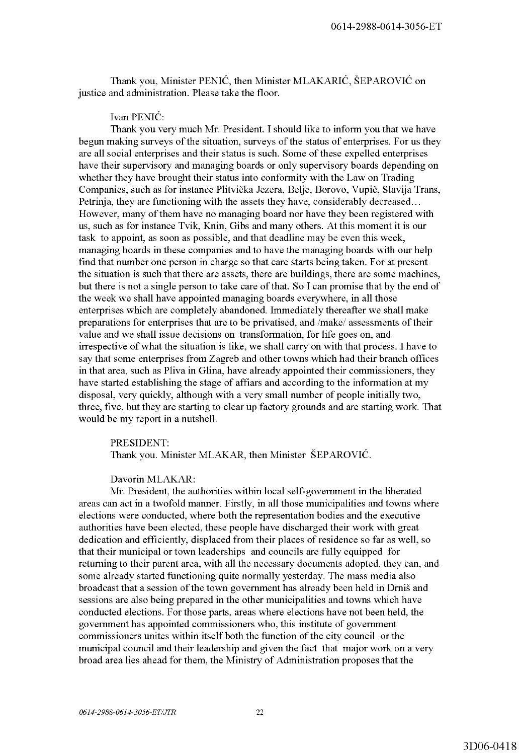Thank you, Minister PENIĆ, then Minister MLAKARIĆ, ŠEPAROVIĆ on justice and administration. Please take the floor.

Ivan PENIC:

Thank you very much Mr. President. I should like to inform you that we have begun making surveys of the situation, surveys of the status of enterprises. For us they are all social enterprises and their status is such. Some of these expelled enterprises have their supervisory and managing boards or only supervisory boards depending on whether they have brought their status into conformity with the Law on Trading Companies, such as for instance Plitvička Jezera, Belje, Borovo, Vupič, Slavija Trans, Petrinja, they are functioning with the assets they have, considerably decreased... However, many of them have no managing board nor have they been registered with us, such as for instance Tvik, Knin, Gibs and many others. At this moment it is our task to appoint, as soon as possible, and that deadline may be even this week, managing boards in these companies and to have the managing boards with our help find that number one person in charge so that care starts being taken. For at present the situation is such that there are assets, there are buildings, there are some machines, but there is not a single person to take care of that. So I can promise that by the end of the week we shall have appointed managing boards everywhere, in all those enterprises which are completely abandoned. Immediately thereafter we shall make preparations for enterprises that are to be privatised, and /make/ assessments of their value and we shall issue decisions on transformation, for life goes on, and irrespective of what the situation is like, we shall carry on with that process. I have to say that some enterprises from Zagreb and other towns which had their branch offices in that area, such as Pliva in Glina, have already appointed their commissioners, they have started establishing the stage of affiars and according to the information at my disposal, very quickly, although with a very small number of people initially two, three, five, but they are starting to clear up factory grounds and are starting work. That would be my report in a nutshell.

PRESIDENT:

Thank you. Minister MLAKAR, then Minister ŠEPAROVIĆ.

Davorin MLAKAR:

Mr. President, the authorities within local self-government in the liberated areas can act in a twofold manner. Firstly, in all those municipalities and towns where elections were conducted, where both the representation bodies and the executive authorities have been elected, these people have discharged their work with great dedication and efficiently, displaced from their places of residence so far as well, so that their municipal or town leaderships and councils are fully equipped for returning to their parent area, with all the necessary documents adopted, they can, and some already started functioning quite normally yesterday. The mass media also broadcast that a session of the town government has already been held in Drnis and sessions are also being prepared in the other municipalities and towns which have conducted elections. For those parts, areas where elections have not been held, the government has appointed commissioners who, this institute of government commissioners unites within itself both the function of the city council or the municipal council and their leadership and given the fact that major work on a very broad area lies ahead for them, the Ministry of Administration proposes that the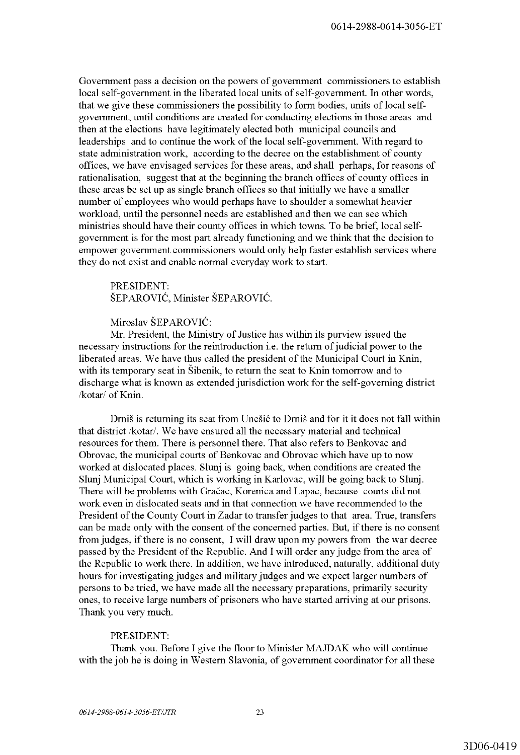Government pass a decision on the powers of government commissioners to establish local self-government in the liberated local units of self-government. In other words, that we give these commissioners the possibility to form bodies, units of local selfgovernment, until conditions are created for conducting elections in those areas and then at the elections have legitimately elected both municipal councils and leaderships and to continue the work of the local self-government. With regard to state administration work, according to the decree on the establishment of county offices, we have envisaged services for these areas, and shall perhaps, for reasons of rationalisation, suggest that at the beginning the branch offices of county offices in these areas be set up as single branch offices so that initially we have a smaller number of employees who would perhaps have to shoulder a somewhat heavier workload, until the personnel needs are established and then we can see which ministries should have their county offices in which towns. To be brief, local selfgovernment is for the most part already functioning and we think that the decision to empower government commissioners would only help faster establish services where they do not exist and enable normal everyday work to start.

PRESIDENT: ŠEPAROVIĆ, Minister ŠEPAROVIĆ.

Miroslav ŠEPAROVIĆ:

Mr. President, the Ministry of Justice has within its purview issued the necessary instructions for the reintroduction i.e. the return of judicial power to the liberated areas. We have thus called the president of the Municipal Court in Knin, with its temporary seat in Šibenik, to return the seat to Knin tomorrow and to discharge what is known as extended jurisdiction work for the self-governing district /kotar/ of Knin.

Drnis is returning its seat from Unesic to Drnis and for it it does not fall within that district /kotar/. We have ensured all the necessary material and technical resources for them. There is personnel there. That also refers to Benkovac and Obrovac, the municipal courts of Benkovac and Obrovac which have up to now worked at dislocated places. Slunj is going back, when conditions are created the Slunj Municipal Court, which is working in Karlovac, will be going back to Slunj. There will be problems with Gračac, Korenica and Lapac, because courts did not work even in dislocated seats and in that connection we have recommended to the President of the County Court in Zadar to transfer judges to that area. True, transfers can be made only with the consent of the concerned parties. But, if there is no consent from judges, if there is no consent, I will draw upon my powers from the war decree passed by the President of the Republic. And I will order any judge from the area of the Republic to work there. In addition, we have introduced, naturally, additional duty hours for investigating judges and military judges and we expect larger numbers of persons to be tried, we have made all the necessary preparations, primarily security ones, to receive large numbers of prisoners who have started arriving at our prisons. Thank you very much.

## PRESIDENT:

Thank you. Before I give the floor to Minister MAJDAK who will continue with the job he is doing in Western Slavonia, of government coordinator for all these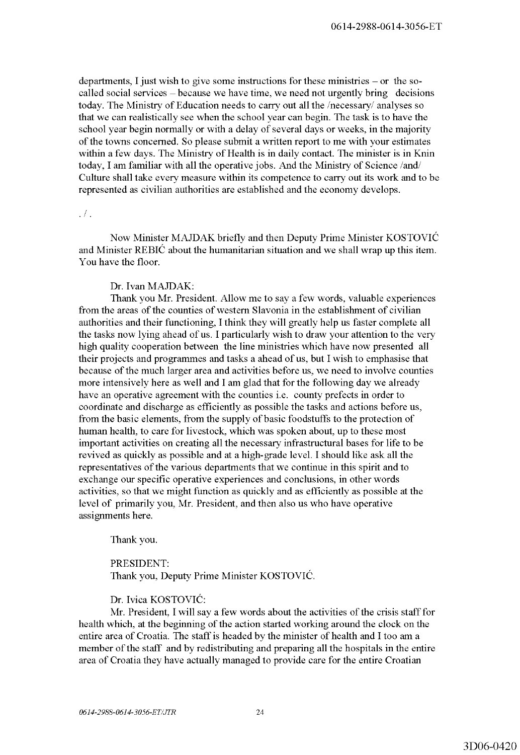departments, I just wish to give some instructions for these ministries  $-$  or the socalled social services - because we have time, we need not urgently bring decisions today. The Ministry of Education needs to carry out all the /necessary/ analyses so that we can realistically see when the school year can begin. The task is to have the school year begin normally or with a delay of several days or weeks, in the majority of the towns concerned. So please submit a written report to me with your estimates within a few days. The Ministry of Health is in daily contact. The minister is in Knin today, I am familiar with all the operative jobs. And the Ministry of Science /and/ Culture shall take every measure within its competence to carry out its work and to be represented as civilian authorities are established and the economy develops .

#### .  $/$  .

Now Minister MAJDAK briefly and then Deputy Prime Minister KOSTOVIC and Minister REBIC about the humanitarian situation and we shall wrap up this item. You have the floor.

#### Dr. Ivan MAJDAK:

Thank you Mr. President. Allow me to say a few words, valuable experiences from the areas of the counties of western Slavonia in the establishment of civilian authorities and their functioning, I think they will greatly help us faster complete all the tasks now lying ahead of us. I particularly wish to draw your attention to the very high quality cooperation between the line ministries which have now presented all their projects and programmes and tasks a ahead of us, but I wish to emphasise that because of the much larger area and activities before us, we need to involve counties more intensively here as well and I am glad that for the following day we already have an operative agreement with the counties i.e. county prefects in order to coordinate and discharge as efficiently as possible the tasks and actions before us, from the basic elements, from the supply of basic foodstuffs to the protection of human health, to care for livestock, which was spoken about, up to these most important activities on creating all the necessary infrastructural bases for life to be revived as quickly as possible and at a high-grade level. I should like ask all the representatives of the various departments that we continue in this spirit and to exchange our specific operative experiences and conclusions, in other words activities, so that we might function as quickly and as efficiently as possible at the level of primarily you, Mr. President, and then also us who have operative assignments here.

Thank you.

PRESIDENT: Thank you, Deputy Prime Minister KOSTOVIC.

# Dr. lvica KOSTOVIC:

Mr. President, I will say a few words about the activities of the crisis staff for health which, at the beginning of the action started working around the clock on the entire area of Croatia. The staff is headed by the minister of health and I too am a member of the staff and by redistributing and preparing all the hospitals in the entire area of Croatia they have actually managed to provide care for the entire Croatian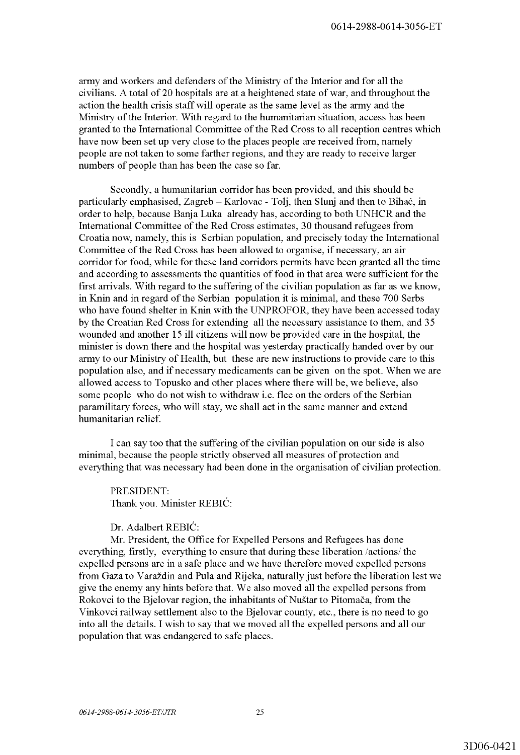army and workers and defenders of the Ministry of the Interior and for all the civilians. A total of 20 hospitals are at a heightened state of war, and throughout the action the health crisis staff will operate as the same level as the army and the Ministry of the Interior. With regard to the humanitarian situation, access has been granted to the International Committee of the Red Cross to all reception centres which have now been set up very close to the places people are received from, namely people are not taken to some farther regions, and they are ready to receive larger numbers of people than has been the case so far.

Secondly, a humanitarian corridor has been provided, and this should be particularly emphasised, Zagreb - Karlovac - Tolj, then Slunj and then to Bihać, in order to help, because Banja Luka already has, according to both UNHCR and the International Committee of the Red Cross estimates, 30 thousand refugees from Croatia now, namely, this is Serbian population, and precisely today the International Committee of the Red Cross has been allowed to organise, if necessary, an air corridor for food, while for these land corridors permits have been granted all the time and according to assessments the quantities of food in that area were sufficient for the first arrivals. With regard to the suffering of the civilian population as far as we know, in Knin and in regard of the Serbian population it is minimal, and these 700 Serbs who have found shelter in Knin with the UNPROFOR, they have been accessed today by the Croatian Red Cross for extending all the necessary assistance to them, and 35 wounded and another 15 ill citizens will now be provided care in the hospital, the minister is down there and the hospital was yesterday practically handed over by our army to our Ministry of Health, but these are new instructions to provide care to this population also, and if necessary medicaments can be given on the spot. When we are allowed access to Topusko and other places where there will be, we believe, also some people who do not wish to withdraw i.e. flee on the orders of the Serbian paramilitary forces, who will stay, we shall act in the same manner and extend humanitarian relief.

I can say too that the suffering of the civilian population on our side is also minimal, because the people strictly observed all measures of protection and everything that was necessary had been done in the organisation of civilian protection.

PRESIDENT: Thank you. Minister REBIC:

Dr. Adalbert REBIC:

Mr. President, the Office for Expelled Persons and Refugees has done everything, firstly, everything to ensure that during these liberation /actions/ the expelled persons are in a safe place and we have therefore moved expelled persons from Gaza to Varazdin and Pula and Rijeka, naturally just before the liberation lest we give the enemy any hints before that. We also moved all the expelled persons from Rokovci to the Bjelovar region, the inhabitants of Nustar to Pitomaca, from the Vinkovci railway settlement also to the Bjelovar county, etc., there is no need to go into all the details. I wish to say that we moved all the expelled persons and all our population that was endangered to safe places.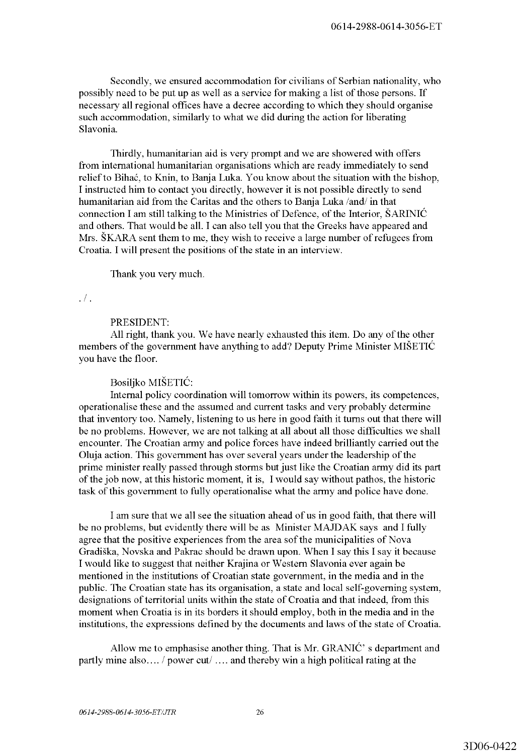Secondly, we ensured accommodation for civilians of Serbian nationality, who possibly need to be put up as well as a service for making a list of those persons. If necessary all regional offices have a decree according to which they should organise such accommodation, similarly to what we did during the action for liberating Slavonia.

Thirdly, humanitarian aid is very prompt and we are showered with offers from international humanitarian organisations which are ready immediately to send relief to Bihac, to Knin, to Banja Luka. You know about the situation with the bishop, I instructed him to contact you directly, however it is not possible directly to send humanitarian aid from the Caritas and the others to Banja Luka /and/ in that connection I am still talking to the Ministries of Defence, of the Interior, ŠARINIC and others. That would be all. I can also tell you that the Greeks have appeared and Mrs. SKARA sent them to me, they wish to receive a large number of refugees from Croatia. I will present the positions of the state in an interview.

Thank you very much.

#### .  $/$  .

## PRESIDENT:

All right, thank you. We have nearly exhausted this item. Do any of the other members of the government have anything to add? Deputy Prime Minister MISETIC you have the floor.

### Bosiljko MISETIC:

Internal policy coordination will tomorrow within its powers, its competences, operationalise these and the assumed and current tasks and very probably determine that inventory too. Namely, listening to us here in good faith it turns out that there will be no problems. However, we are not talking at all about all those difficulties we shall encounter. The Croatian army and police forces have indeed brilliantly carried out the Oluja action. This government has over several years under the leadership of the prime minister really passed through storms but just like the Croatian army did its part of the job now, at this historic moment, it is, I would say without pathos, the historic task of this government to fully operationalise what the army and police have done.

I am sure that we all see the situation ahead of us in good faith, that there will be no problems, but evidently there will be as Minister MAJDAK says and I fully agree that the positive experiences from the area sof the municipalities of Nova Gradiska, Novska and Pakrac should be drawn upon. When I say this I say it because I would like to suggest that neither Krajina or Western Slavonia ever again be mentioned in the institutions of Croatian state government, in the media and in the public. The Croatian state has its organisation, a state and local self-governing system, designations of territorial units within the state of Croatia and that indeed, from this moment when Croatia is in its borders it should employ, both in the media and in the institutions, the expressions defined by the documents and laws of the state of Croatia.

Allow me to emphasise another thing. That is Mr. GRANIC' s department and partly mine also .... / power cut/ .... and thereby win a high political rating at the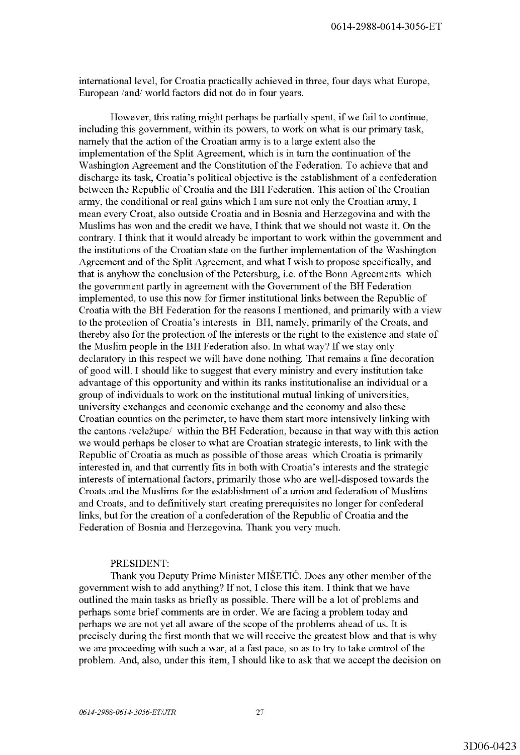international level, for Croatia practically achieved in three, four days what Europe, European /and/ world factors did not do in four years.

However, this rating might perhaps be partially spent, if we fail to continue, including this government, within its powers, to work on what is our primary task, namely that the action of the Croatian army is to a large extent also the implementation of the Split Agreement, which is in tum the continuation of the Washington Agreement and the Constitution of the Federation. To achieve that and discharge its task, Croatia's political objective is the establishment of a confederation between the Republic of Croatia and the BH Federation. This action of the Croatian army, the conditional or real gains which I am sure not only the Croatian army, I mean every Croat, also outside Croatia and in Bosnia and Herzegovina and with the Muslims has won and the credit we have, I think that we should not waste it. On the contrary. I think that it would already be important to work within the government and the institutions of the Croatian state on the further implementation of the Washington Agreement and of the Split Agreement, and what I wish to propose specifically, and that is anyhow the conclusion of the Petersburg, i.e. of the Bonn Agreements which the government partly in agreement with the Government of the BH Federation implemented, to use this now for firmer institutional links between the Republic of Croatia with the BH Federation for the reasons I mentioned, and primarily with a view to the protection of Croatia's interests in BH, namely, primarily of the Croats, and thereby also for the protection of the interests or the right to the existence and state of the Muslim people in the BH Federation also. In what way? If we stay only declaratory in this respect we will have done nothing. That remains a fine decoration of good will. I should like to suggest that every ministry and every institution take advantage of this opportunity and within its ranks institutionalise an individual or a group of individuals to work on the institutional mutual linking of universities, university exchanges and economic exchange and the economy and also these Croatian counties on the perimeter, to have them start more intensively linking with the cantons /velezupe/ within the BH Federation, because in that way with this action we would perhaps be closer to what are Croatian strategic interests, to link with the Republic of Croatia as much as possible of those areas which Croatia is primarily interested in, and that currently fits in both with Croatia's interests and the strategic interests of international factors, primarily those who are well-disposed towards the Croats and the Muslims for the establishment of a union and federation of Muslims and Croats, and to definitively start creating prerequisites no longer for confederal links, but for the creation of a confederation of the Republic of Croatia and the Federation of Bosnia and Herzegovina. Thank you very much.

## PRESIDENT:

Thank you Deputy Prime Minister MISETIC. Does any other member of the government wish to add anything? If not, I close this item. I think that we have outlined the main tasks as briefly as possible. There will be a lot of problems and perhaps some brief comments are in order. We are facing a problem today and perhaps we are not yet all aware of the scope of the problems ahead of us. It is precisely during the first month that we will receive the greatest blow and that is why we are proceeding with such a war, at a fast pace, so as to try to take control of the problem. And, also, under this item, I should like to ask that we accept the decision on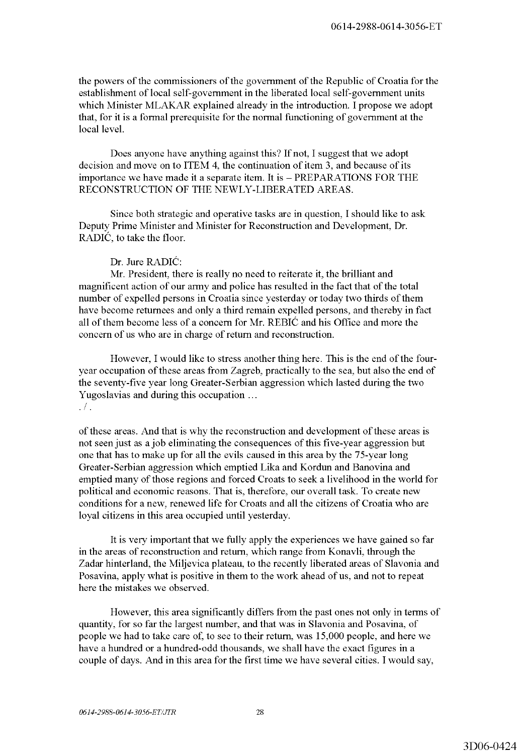the powers of the commissioners of the government of the Republic of Croatia for the establishment of local self-government in the liberated local self-government units which Minister MLAKAR explained already in the introduction. I propose we adopt that, for it is a formal prerequisite for the normal functioning of government at the local level.

Does anyone have anything against this? If not, I suggest that we adopt decision and move on to ITEM 4, the continuation of item 3, and because of its importance we have made it a separate item. It is  $-$  PREPARATIONS FOR THE RECONSTRUCTION OF THE NEWLY-LIBERATED AREAS.

Since both strategic and operative tasks are in question, I should like to ask Deputy Prime Minister and Minister for Reconstruction and Development, Dr. RADIC, to take the floor.

## Dr. Jure RADIC:

Mr. President, there is really no need to reiterate it, the brilliant and magnificent action of our army and police has resulted in the fact that of the total number of expelled persons in Croatia since yesterday or today two thirds of them have become returnees and only a third remain expelled persons, and thereby in fact all of them become less of a concern for Mr. REBIC and his Office and more the concern of us who are in charge of return and reconstruction.

However, I would like to stress another thing here. This is the end of the fouryear occupation of these areas from Zagreb, practically to the sea, but also the end of the seventy-five year long Greater-Serbian aggression which lasted during the two Yugoslavias and during this occupation ...  $\cdot$  /  $\cdot$ 

of these areas. And that is why the reconstruction and development of these areas is not seen just as a job eliminating the consequences of this five-year aggression but one that has to make up for all the evils caused in this area by the 75-year long Greater-Serbian aggression which emptied Lika and Kordun and Banovina and emptied many of those regions and forced Croats to seek a livelihood in the world for political and economic reasons. That is, therefore, our overall task. To create new conditions for a new, renewed life for Croats and all the citizens of Croatia who are loyal citizens in this area occupied until yesterday.

It is very important that we fully apply the experiences we have gained so far in the areas of reconstruction and return, which range from Konavli, through the Zadar hinterland, the Miljevica plateau, to the recently liberated areas of Slavonia and Posavina, apply what is positive in them to the work ahead of us, and not to repeat here the mistakes we observed.

However, this area significantly differs from the past ones not only in terms of quantity, for so far the largest number, and that was in Slavonia and Posavina, of people we had to take care of, to see to their return, was 15,000 people, and here we have a hundred or a hundred-odd thousands, we shall have the exact figures in a couple of days. And in this area for the first time we have several cities. I would say,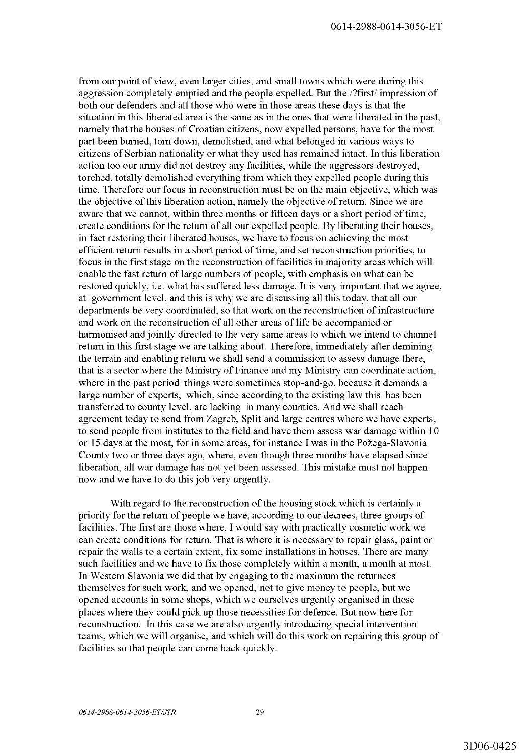from our point of view, even larger cities, and small towns which were during this aggression completely emptied and the people expelled. But the /?first/ impression of both our defenders and all those who were in those areas these days is that the situation in this liberated area is the same as in the ones that were liberated in the past, namely that the houses of Croatian citizens, now expelled persons, have for the most part been burned, tom down, demolished, and what belonged in various ways to citizens of Serbian nationality or what they used has remained intact. In this liberation action too our army did not destroy any facilities, while the aggressors destroyed, torched, totally demolished everything from which they expelled people during this time. Therefore our focus in reconstruction must be on the main objective, which was the objective of this liberation action, namely the objective of return. Since we are aware that we cannot, within three months or fifteen days or a short period of time, create conditions for the return of all our expelled people. By liberating their houses, in fact restoring their liberated houses, we have to focus on achieving the most efficient return results in a short period of time, and set reconstruction priorities, to focus in the first stage on the reconstruction of facilities in majority areas which will enable the fast return of large numbers of people, with emphasis on what can be restored quickly, i.e. what has suffered less damage. It is very important that we agree, at government level, and this is why we are discussing all this today, that all our departments be very coordinated, so that work on the reconstruction of infrastructure and work on the reconstruction of all other areas of life be accompanied or harmonised and jointly directed to the very same areas to which we intend to channel return in this first stage we are talking about. Therefore, immediately after demining the terrain and enabling return we shall send a commission to assess damage there, that is a sector where the Ministry of Finance and my Ministry can coordinate action, where in the past period things were sometimes stop-and-go, because it demands a large number of experts, which, since according to the existing law this has been transferred to county level, are lacking in many counties. And we shall reach agreement today to send from Zagreb, Split and large centres where we have experts, to send people from institutes to the field and have them assess war damage within 10 or 15 days at the most, for in some areas, for instance I was in the Požega-Slavonia County two or three days ago, where, even though three months have elapsed since liberation, all war damage has not yet been assessed. This mistake must not happen now and we have to do this job very urgently.

With regard to the reconstruction of the housing stock which is certainly a priority for the return of people we have, according to our decrees, three groups of facilities. The first are those where, I would say with practically cosmetic work we can create conditions for return. That is where it is necessary to repair glass, paint or repair the walls to a certain extent, fix some installations in houses. There are many such facilities and we have to fix those completely within a month, a month at most. In Western Slavonia we did that by engaging to the maximum the returnees themselves for such work, and we opened, not to give money to people, but we opened accounts in some shops, which we ourselves urgently organised in those places where they could pick up those necessities for defence. But now here for reconstruction. In this case we are also urgently introducing special intervention teams, which we will organise, and which will do this work on repairing this group of facilities so that people can come back quickly.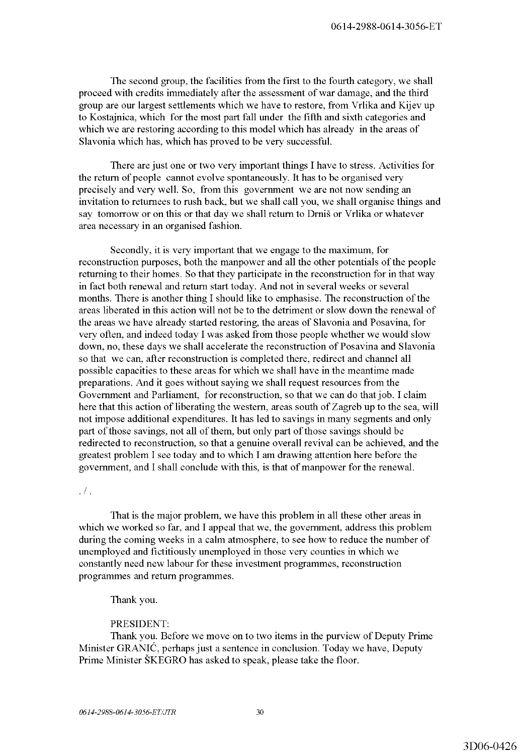The second group, the facilities from the first to the fourth category, we shall proceed with credits immediately after the assessment of war damage, and the third group are our largest settlements which we have to restore, from Vrlika and Kijev up to Kostajnica, which for the most part fall under the fifth and sixth categories and which we are restoring according to this model which has already in the areas of Slavonia which has, which has proved to be very successful.

There are just one or two very important things I have to stress. Activities for the return of people cannot evolve spontaneously. It has to be organised very precisely and very well. So, from this government we are not now sending an invitation to returnees to rush back, but we shall call you, we shall organise things and say tomorrow or on this or that day we shall return to Drnis or Vrlika or whatever area necessary in an organised fashion.

Secondly, it is very important that we engage to the maximum, for reconstruction purposes, both the manpower and all the other potentials of the people returning to their homes. So that they participate in the reconstruction for in that way in fact both renewal and return start today. And not in several weeks or several months. There is another thing I should like to emphasise. The reconstruction of the areas liberated in this action will not be to the detriment or slow down the renewal of the areas we have already started restoring, the areas of Slavonia and Posavina, for very often, and indeed today I was asked from those people whether we would slow down, no, these days we shall accelerate the reconstruction of Posavina and Slavonia so that we can, after reconstruction is completed there, redirect and channel all possible capacities to these areas for which we shall have in the meantime made preparations. And it goes without saying we shall request resources from the Government and Parliament, for reconstruction, so that we can do that job. I claim here that this action of liberating the western, areas south of Zagreb up to the sea, will not impose additional expenditures. It has led to savings in many segments and only part of those savings, not all of them, but only part of those savings should be redirected to reconstruction, so that a genuine overall revival can be achieved, and the greatest problem I see today and to which I am drawing attention here before the government, and I shall conclude with this, is that of manpower for the renewal.

### .  $/$  .

That is the major problem, we have this problem in all these other areas in which we worked so far, and I appeal that we, the government, address this problem during the coming weeks in a calm atmosphere, to see how to reduce the number of unemployed and fictitiously unemployed in those very counties in which we constantly need new labour for these investment programmes, reconstruction programmes and return programmes.

# Thank you.

# PRESIDENT:

Thank you. Before we move on to two items in the purview of Deputy Prime Minister GRANIC, perhaps just a sentence in conclusion. Today we have, Deputy Prime Minister SKEGRO has asked to speak, please take the floor.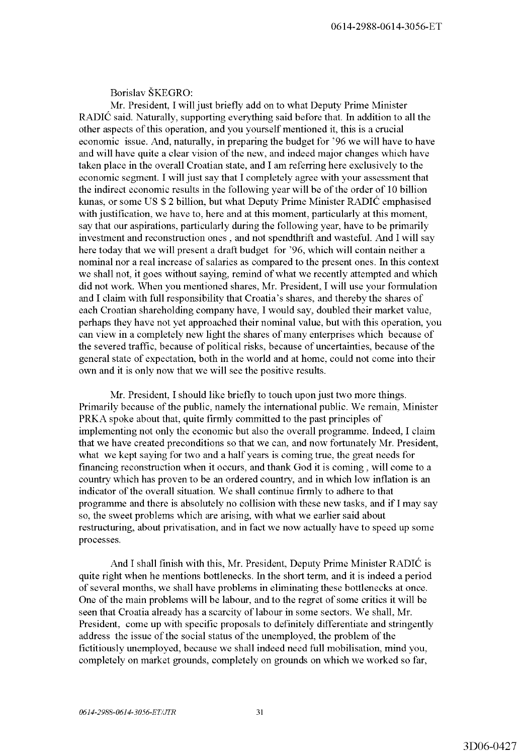Borislav SKEGRO:

Mr. President, I will just briefly add on to what Deputy Prime Minister RADIC said. Naturally, supporting everything said before that. In addition to all the other aspects of this operation, and you yourself mentioned it, this is a crucial economic issue. And, naturally, in preparing the budget for '96 we will have to have and will have quite a clear vision of the new, and indeed major changes which have taken place in the overall Croatian state, and I am referring here exclusively to the economic segment. I will just say that I completely agree with your assessment that the indirect economic results in the following year will be of the order of 10 billion kunas, or some US \$ 2 billion, but what Deputy Prime Minister RADIC emphasised with justification, we have to, here and at this moment, particularly at this moment, say that our aspirations, particularly during the following year, have to be primarily investment and reconstruction ones, and not spendthrift and wasteful. And I will say here today that we will present a draft budget for '96, which will contain neither a nominal nor a real increase of salaries as compared to the present ones. In this context we shall not, it goes without saying, remind of what we recently attempted and which did not work. When you mentioned shares, Mr. President, I will use your formulation and I claim with full responsibility that Croatia's shares, and thereby the shares of each Croatian shareholding company have, I would say, doubled their market value, perhaps they have not yet approached their nominal value, but with this operation, you can view in a completely new light the shares of many enterprises which because of the severed traffic, because of political risks, because of uncertainties, because of the general state of expectation, both in the world and at home, could not come into their own and it is only now that we will see the positive results.

Mr. President, I should like briefly to touch upon just two more things. Primarily because of the public, namely the international public. We remain, Minister PRKA spoke about that, quite firmly committed to the past principles of implementing not only the economic but also the overall programme. Indeed, I claim that we have created preconditions so that we can, and now fortunately Mr. President, what we kept saying for two and a half years is coming true, the great needs for financing reconstruction when it occurs, and thank God it is coming, will come to a country which has proven to be an ordered country, and in which low inflation is an indicator of the overall situation. We shall continue firmly to adhere to that programme and there is absolutely no collision with these new tasks, and if I may say so, the sweet problems which are arising, with what we earlier said about restructuring, about privatisation, and in fact we now actually have to speed up some processes.

And I shall finish with this, Mr. President, Deputy Prime Minister RADIC is quite right when he mentions bottlenecks. In the short term, and it is indeed a period of several months, we shall have problems in eliminating these bottlenecks at once. One of the main problems will be labour, and to the regret of some critics it will be seen that Croatia already has a scarcity of labour in some sectors. We shall, Mr. President, come up with specific proposals to definitely differentiate and stringently address the issue of the social status of the unemployed, the problem of the fictitiously unemployed, because we shall indeed need full mobilisation, mind you, completely on market grounds, completely on grounds on which we worked so far,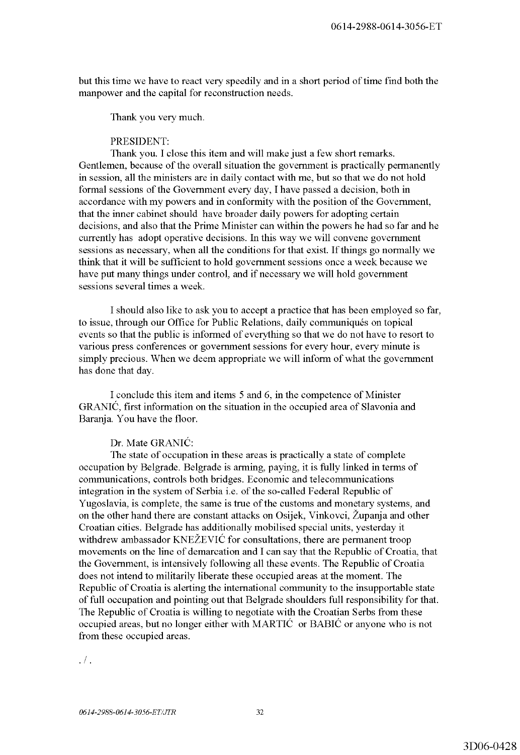but this time we have to react very speedily and in a short period of time find both the manpower and the capital for reconstruction needs.

Thank you very much.

### PRESIDENT:

Thank you. I close this item and will make just a few short remarks. Gentlemen, because of the overall situation the government is practically permanently in session, all the ministers are in daily contact with me, but so that we do not hold formal sessions of the Government every day, I have passed a decision, both in accordance with my powers and in conformity with the position of the Government, that the inner cabinet should have broader daily powers for adopting certain decisions, and also that the Prime Minister can within the powers he had so far and he currently has adopt operative decisions. In this way we will convene government sessions as necessary, when all the conditions for that exist. If things go normally we think that it will be sufficient to hold government sessions once a week because we have put many things under control, and if necessary we will hold government sessions several times a week.

I should also like to ask you to accept a practice that has been employed so far, to issue, through our Office for Public Relations, daily communiqués on topical events so that the public is informed of everything so that we do not have to resort to various press conferences or government sessions for every hour, every minute is simply precious. When we deem appropriate we will inform of what the government has done that day.

I conclude this item and items 5 and 6, in the competence of Minister GRANIC, first information on the situation in the occupied area of Slavonia and Baranja. You have the floor.

#### Dr. Mate GRANIC:

The state of occupation in these areas is practically a state of complete occupation by Belgrade. Belgrade is arming, paying, it is fully linked in terms of communications, controls both bridges. Economic and telecommunications integration in the system of Serbia i.e. of the so-called Federal Republic of Yugoslavia, is complete, the same is true of the customs and monetary systems, and on the other hand there are constant attacks on Osijek, Vinkovci, Zupanja and other Croatian cities. Belgrade has additionally mobilised special units, yesterday it withdrew ambassador KNEŽEVIĆ for consultations, there are permanent troop movements on the line of demarcation and I can say that the Republic of Croatia, that the Government, is intensively following all these events. The Republic of Croatia does not intend to militarily liberate these occupied areas at the moment. The Republic of Croatia is alerting the international community to the insupportable state of full occupation and pointing out that Belgrade shoulders full responsibility for that. The Republic of Croatia is willing to negotiate with the Croatian Serbs from these occupied areas, but no longer either with MARTIC or BABIC or anyone who is not from these occupied areas.

.  $\sqrt{ }$  .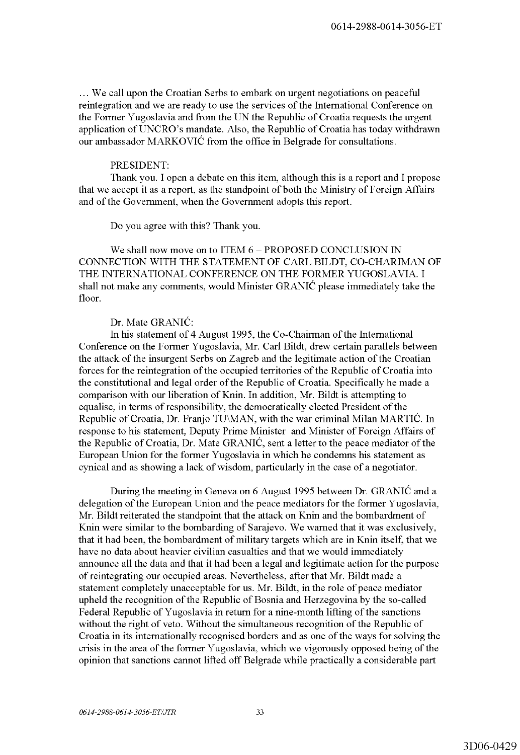... We call upon the Croatian Serbs to embark on urgent negotiations on peaceful reintegration and we are ready to use the services of the International Conference on the Former Yugoslavia and from the UN the Republic of Croatia requests the urgent application ofUNCRO's mandate. Also, the Republic of Croatia has today withdrawn our ambassador MARKOVIC from the office in Belgrade for consultations.

# PRESIDENT:

Thank you. I open a debate on this item, although this is a report and I propose that we accept it as a report, as the standpoint of both the Ministry of Foreign Affairs and of the Government, when the Government adopts this report.

Do you agree with this? Thank you.

We shall now move on to ITEM 6 - PROPOSED CONCLUSION IN CONNECTION WITH THE STATEMENT OF CARL BILDT, CO-CHARIMAN OF THE INTERNATIONAL CONFERENCE ON THE FORMER YUGOSLAVIA. I shall not make any comments, would Minister GRANIC please immediately take the floor.

# Dr. Mate GRANIC:

In his statement of 4 August 1995, the Co-Chairman of the International Conference on the Former Yugoslavia, Mr. Carl Bildt, drew certain parallels between the attack of the insurgent Serbs on Zagreb and the legitimate action of the Croatian forces for the reintegration of the occupied territories of the Republic of Croatia into the constitutional and legal order of the Republic of Croatia. Specifically he made a comparison with our liberation of Knin. In addition, Mr. Bildt is attempting to equalise, in terms of responsibility, the democratically elected President of the Republic of Croatia, Dr. Franjo TU\MAN, with the war criminal Milan MARTIC. In response to his statement, Deputy Prime Minister and Minister of Foreign Affairs of the Republic of Croatia, Dr. Mate GRANIC, sent a letter to the peace mediator of the European Union for the former Yugoslavia in which he condemns his statement as cynical and as showing a lack of wisdom, particularly in the case of a negotiator.

During the meeting in Geneva on 6 August 1995 between Dr. GRANIC and a delegation of the European Union and the peace mediators for the former Yugoslavia, Mr. Bildt reiterated the standpoint that the attack on Knin and the bombardment of Knin were similar to the bombarding of Sarajevo. We warned that it was exclusively, that it had been, the bombardment of military targets which are in Knin itself, that we have no data about heavier civilian casualties and that we would immediately announce all the data and that it had been a legal and legitimate action for the purpose of reintegrating our occupied areas. Nevertheless, after that Mr. Bildt made a statement completely unacceptable for us. Mr. Bildt, in the role of peace mediator upheld the recognition of the Republic of Bosnia and Herzegovina by the so-called Federal Republic of Yugoslavia in return for a nine-month lifting of the sanctions without the right of veto. Without the simultaneous recognition of the Republic of Croatia in its internationally recognised borders and as one of the ways for solving the crisis in the area of the former Yugoslavia, which we vigorously opposed being of the opinion that sanctions cannot lifted off Belgrade while practically a considerable part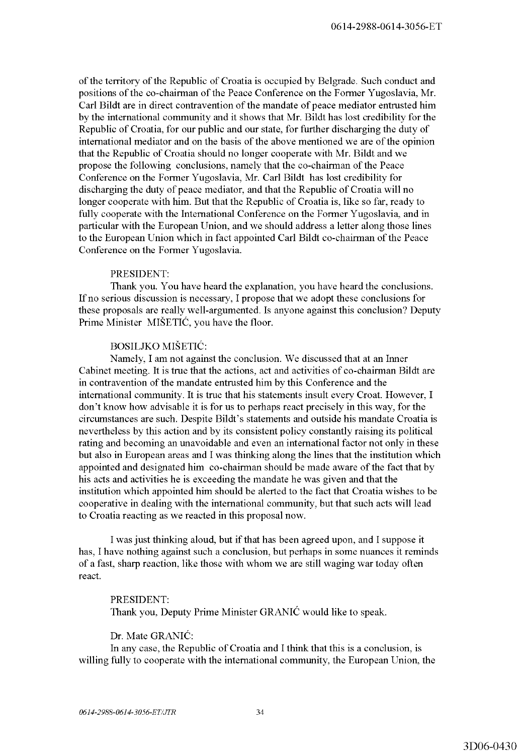of the territory of the Republic of Croatia is occupied by Belgrade. Such conduct and positions of the co-chairman of the Peace Conference on the Former Yugoslavia, Mr. Carl Bildt are in direct contravention of the mandate of peace mediator entrusted him by the international community and it shows that Mr. Bildt has lost credibility for the Republic of Croatia, for our public and our state, for further discharging the duty of international mediator and on the basis of the above mentioned we are of the opinion that the Republic of Croatia should no longer cooperate with Mr. Bildt and we propose the following conclusions, namely that the co-chairman of the Peace Conference on the Former Yugoslavia, Mr. Carl Bildt has lost credibility for discharging the duty of peace mediator, and that the Republic of Croatia will no longer cooperate with him. But that the Republic of Croatia is, like so far, ready to fully cooperate with the International Conference on the Former Yugoslavia, and in particular with the European Union, and we should address a letter along those lines to the European Union which in fact appointed Carl Bildt co-chairman of the Peace Conference on the Former Yugoslavia.

## PRESIDENT:

Thank you. You have heard the explanation, you have heard the conclusions. If no serious discussion is necessary, I propose that we adopt these conclusions for these proposals are really well-argumented. Is anyone against this conclusion? Deputy Prime Minister MIŠETIĆ, you have the floor.

# BOSILJKO MISETIC:

Namely, I am not against the conclusion. We discussed that at an Inner Cabinet meeting. It is true that the actions, act and activities of co-chairman Bildt are in contravention of the mandate entrusted him by this Conference and the international community. It is true that his statements insult every Croat. However, I don't know how advisable it is for us to perhaps react precisely in this way, for the circumstances are such. Despite Bildt's statements and outside his mandate Croatia is nevertheless by this action and by its consistent policy constantly raising its political rating and becoming an unavoidable and even an international factor not only in these but also in European areas and I was thinking along the lines that the institution which appointed and designated him co-chairman should be made aware of the fact that by his acts and activities he is exceeding the mandate he was given and that the institution which appointed him should be alerted to the fact that Croatia wishes to be cooperative in dealing with the international community, but that such acts will lead to Croatia reacting as we reacted in this proposal now.

I was just thinking aloud, but if that has been agreed upon, and I suppose it has, I have nothing against such a conclusion, but perhaps in some nuances it reminds of a fast, sharp reaction, like those with whom we are still waging war today often react.

PRESIDENT: Thank you, Deputy Prime Minister GRANIC would like to speak.

Dr. Mate GRANIC:

In any case, the Republic of Croatia and I think that this is a conclusion, is willing fully to cooperate with the international community, the European Union, the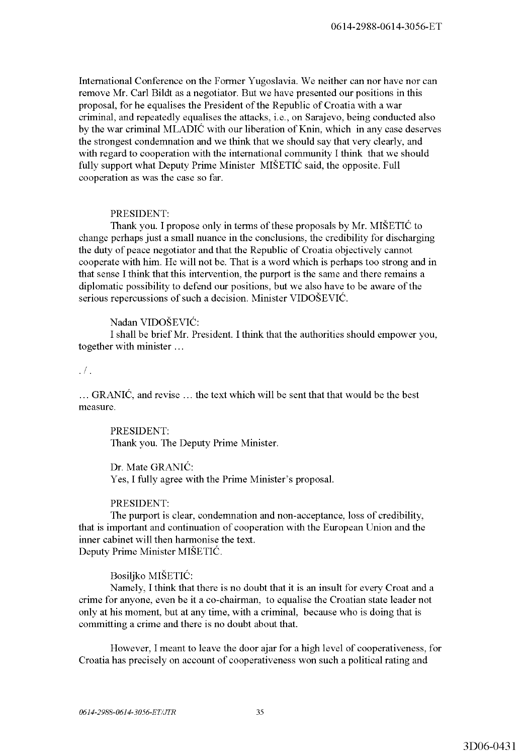International Conference on the Former Yugoslavia. We neither can nor have nor can remove Mr. Carl Bildt as a negotiator. But we have presented our positions in this proposal, for he equalises the President of the Republic of Croatia with a war criminal, and repeatedly equalises the attacks, i.e., on Sarajevo, being conducted also by the war criminal MLADIC with our liberation of Knin, which in any case deserves the strongest condemnation and we think that we should say that very clearly, and with regard to cooperation with the international community I think that we should fully support what Deputy Prime Minister MISETIC said, the opposite. Full cooperation as was the case so far.

# PRESIDENT:

Thank you. I propose only in terms of these proposals by Mr. MISETIC to change perhaps just a small nuance in the conclusions, the credibility for discharging the duty of peace negotiator and that the Republic of Croatia objectively cannot cooperate with him. He will not be. That is a word which is perhaps too strong and in that sense I think that this intervention, the purport is the same and there remains a diplomatic possibility to defend our positions, but we also have to be aware of the serious repercussions of such a decision. Minister VIDOŠEVIĆ.

# Nadan VIDOSEVIC:

I shall be brief Mr. President. I think that the authorities should empower you, together with minister ...

#### .  $/$  .

 $\ldots$  GRANIC, and revise  $\ldots$  the text which will be sent that that would be the best measure.

PRESIDENT: Thank you. The Deputy Prime Minister.

Dr. Mate GRANIC: Yes, I fully agree with the Prime Minister's proposal.

## PRESIDENT:

The purport is clear, condemnation and non-acceptance, loss of credibility, that is important and continuation of cooperation with the European Union and the inner cabinet will then harmonise the text. Deputy Prime Minister MISETIC.

Bosiljko MISETIC:

Namely, I think that there is no doubt that it is an insult for every Croat and a crime for anyone, even be it a co-chairman, to equalise the Croatian state leader not only at his moment, but at any time, with a criminal, because who is doing that is committing a crime and there is no doubt about that.

However, I meant to leave the door ajar for a high level of cooperativeness, for Croatia has precisely on account of cooperativeness won such a political rating and